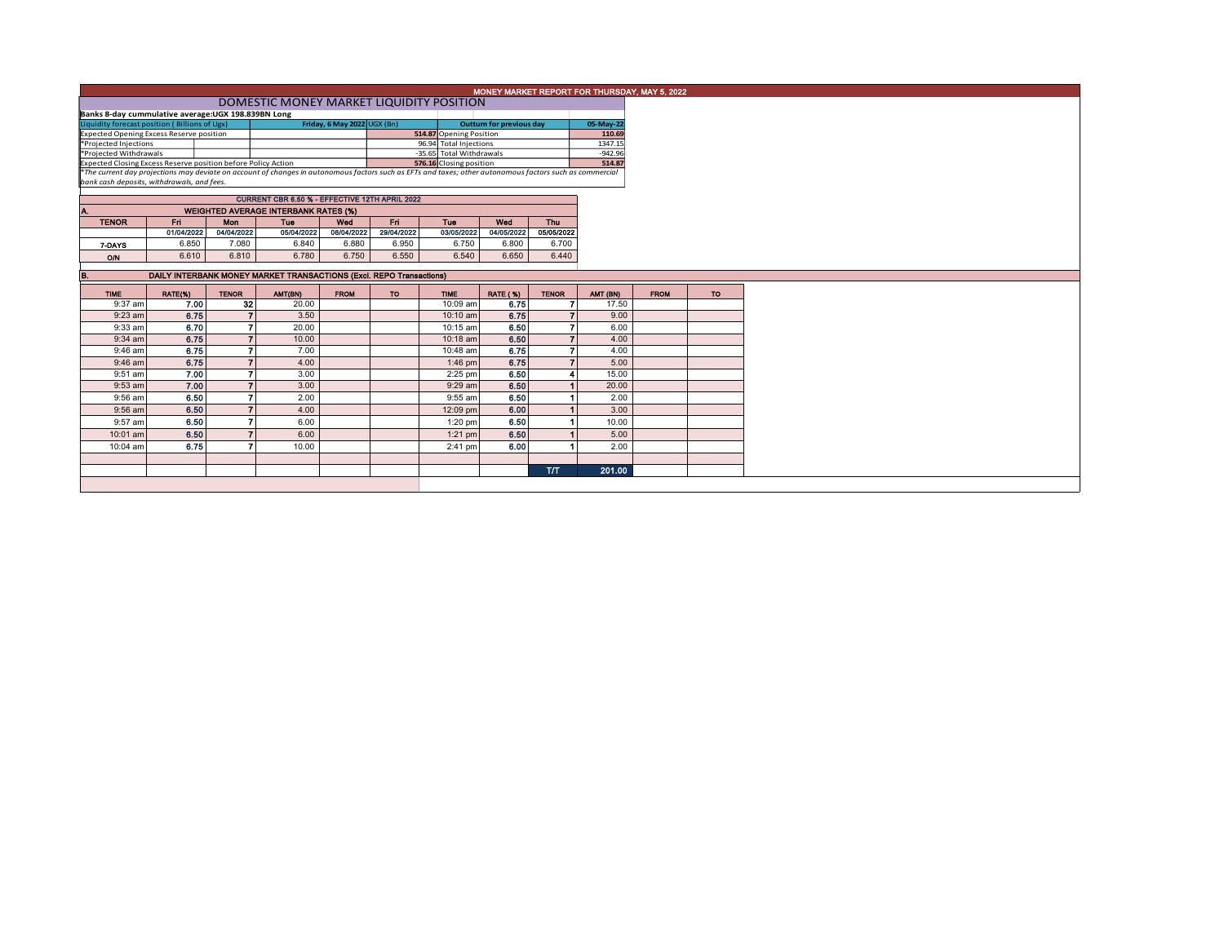|                                                                              | MONEY MARKET REPORT FOR THURSDAY, MAY 5, 2022                                                                                                                                                          |                |                                             |             |            |                         |                                                     |              |                      |             |     |  |  |
|------------------------------------------------------------------------------|--------------------------------------------------------------------------------------------------------------------------------------------------------------------------------------------------------|----------------|---------------------------------------------|-------------|------------|-------------------------|-----------------------------------------------------|--------------|----------------------|-------------|-----|--|--|
|                                                                              | DOMESTIC MONEY MARKET LIQUIDITY POSITION                                                                                                                                                               |                |                                             |             |            |                         |                                                     |              |                      |             |     |  |  |
|                                                                              | Banks 8-day cummulative average: UGX 198.839BN Long                                                                                                                                                    |                |                                             |             |            |                         |                                                     |              |                      |             |     |  |  |
| Friday, 6 May 2022 UGX (Bn)<br>Liquidity forecast position (Billions of Ugx) |                                                                                                                                                                                                        |                |                                             |             |            |                         | <b>Outturn for previous day</b>                     |              | 05-May-22            |             |     |  |  |
|                                                                              | <b>Expected Opening Excess Reserve position</b>                                                                                                                                                        |                |                                             |             |            | 514.87 Opening Position |                                                     |              | 110.69               |             |     |  |  |
| *Projected Injections                                                        |                                                                                                                                                                                                        |                |                                             |             |            | 96.94 Total Injections  |                                                     |              | 1347.15<br>$-942.96$ |             |     |  |  |
| *Projected Withdrawals                                                       |                                                                                                                                                                                                        |                |                                             |             |            |                         | -35.65 Total Withdrawals<br>576.16 Closing position |              |                      |             |     |  |  |
| Expected Closing Excess Reserve position before Policy Action                |                                                                                                                                                                                                        |                |                                             |             |            |                         |                                                     |              | 514.87               |             |     |  |  |
|                                                                              | *The current day projections may deviate on account of changes in autonomous factors such as EFTs and taxes; other autonomous factors such as commercial<br>bank cash deposits, withdrawals, and fees. |                |                                             |             |            |                         |                                                     |              |                      |             |     |  |  |
|                                                                              |                                                                                                                                                                                                        |                |                                             |             |            |                         |                                                     |              |                      |             |     |  |  |
|                                                                              | CURRENT CBR 6.50 % - EFFECTIVE 12TH APRIL 2022                                                                                                                                                         |                |                                             |             |            |                         |                                                     |              |                      |             |     |  |  |
|                                                                              |                                                                                                                                                                                                        |                | <b>WEIGHTED AVERAGE INTERBANK RATES (%)</b> |             |            |                         |                                                     |              |                      |             |     |  |  |
| <b>TENOR</b>                                                                 | Fri.                                                                                                                                                                                                   | Mon            | Tue                                         | Wed         | Fri        | Tue                     | Wed                                                 | Thu          |                      |             |     |  |  |
|                                                                              | 01/04/2022                                                                                                                                                                                             | 04/04/2022     | 05/04/2022                                  | 06/04/2022  | 29/04/2022 | 03/05/2022              | 04/05/2022                                          | 05/05/2022   |                      |             |     |  |  |
| 7-DAYS                                                                       | 6.850                                                                                                                                                                                                  | 7.080          | 6.840                                       | 6.880       | 6.950      | 6.750                   | 6.800                                               | 6.700        |                      |             |     |  |  |
| O/N                                                                          | 6.610                                                                                                                                                                                                  | 6.810          | 6.780                                       | 6.750       | 6.550      | 6.540                   | 6.650                                               | 6.440        |                      |             |     |  |  |
|                                                                              |                                                                                                                                                                                                        |                |                                             |             |            |                         |                                                     |              |                      |             |     |  |  |
|                                                                              | DAILY INTERBANK MONEY MARKET TRANSACTIONS (Excl. REPO Transactions)                                                                                                                                    |                |                                             |             |            |                         |                                                     |              |                      |             |     |  |  |
| <b>TIME</b>                                                                  | RATE(%)                                                                                                                                                                                                | <b>TENOR</b>   | AMT(BN)                                     | <b>FROM</b> | <b>TO</b>  | <b>TIME</b>             | <b>RATE (%)</b>                                     | <b>TENOR</b> | AMT (BN)             | <b>FROM</b> | TO. |  |  |
| 9:37 am                                                                      |                                                                                                                                                                                                        |                |                                             |             |            |                         |                                                     |              |                      |             |     |  |  |
|                                                                              | 7.00                                                                                                                                                                                                   | 32             | 20.00                                       |             |            | 10:09 am                | 6.75                                                |              | 17.50                |             |     |  |  |
| $9:23$ am                                                                    | 6.75                                                                                                                                                                                                   |                | 3.50                                        |             |            | 10:10 am                | 6.75                                                |              | 9.00                 |             |     |  |  |
| 9:33 am                                                                      | 6.70                                                                                                                                                                                                   |                | 20.00                                       |             |            | 10:15 am                | 6.50                                                |              | 6.00                 |             |     |  |  |
| $9:34$ am                                                                    | 6.75                                                                                                                                                                                                   |                | 10.00                                       |             |            | 10:18 am                | 6.50                                                |              | 4.00                 |             |     |  |  |
| 9:46 am                                                                      | 6.75                                                                                                                                                                                                   |                | 7.00                                        |             |            | 10:48 am                | 6.75                                                |              | 4.00                 |             |     |  |  |
| $9:46$ am                                                                    | 6.75                                                                                                                                                                                                   | $\overline{7}$ | 4.00                                        |             |            | $1:46$ pm               | 6.75                                                |              | 5.00                 |             |     |  |  |
| 9:51 am                                                                      | 7.00                                                                                                                                                                                                   |                | 3.00                                        |             |            | 2:25 pm                 | 6.50                                                |              | 15.00                |             |     |  |  |
| $9:53$ am                                                                    | 7.00                                                                                                                                                                                                   | $\overline{7}$ | 3.00                                        |             |            | $9:29$ am               | 6.50                                                |              | 20.00                |             |     |  |  |
| 9:56 am                                                                      | 6.50                                                                                                                                                                                                   |                | 2.00                                        |             |            | 9:55 am                 | 6.50                                                |              | 2.00                 |             |     |  |  |
| 9:56 am                                                                      | 6.50                                                                                                                                                                                                   | $\overline{7}$ | 4.00                                        |             |            | 12:09 pm                | 6.00                                                |              | 3.00                 |             |     |  |  |
| 9:57 am                                                                      | 6.50                                                                                                                                                                                                   |                | 6.00                                        |             |            | $1:20$ pm               | 6.50                                                |              | 10.00                |             |     |  |  |
| 10:01 am                                                                     | 6.50                                                                                                                                                                                                   | $\overline{7}$ | 6.00                                        |             |            | $1:21$ pm               | 6.50                                                |              | 5.00                 |             |     |  |  |
| 10:04 am                                                                     | 6.75                                                                                                                                                                                                   |                | 10.00                                       |             |            | 2:41 pm                 | 6.00                                                |              | 2.00                 |             |     |  |  |
|                                                                              |                                                                                                                                                                                                        |                |                                             |             |            |                         |                                                     |              |                      |             |     |  |  |
|                                                                              |                                                                                                                                                                                                        |                |                                             |             |            |                         |                                                     | <b>T/T</b>   | 201.00               |             |     |  |  |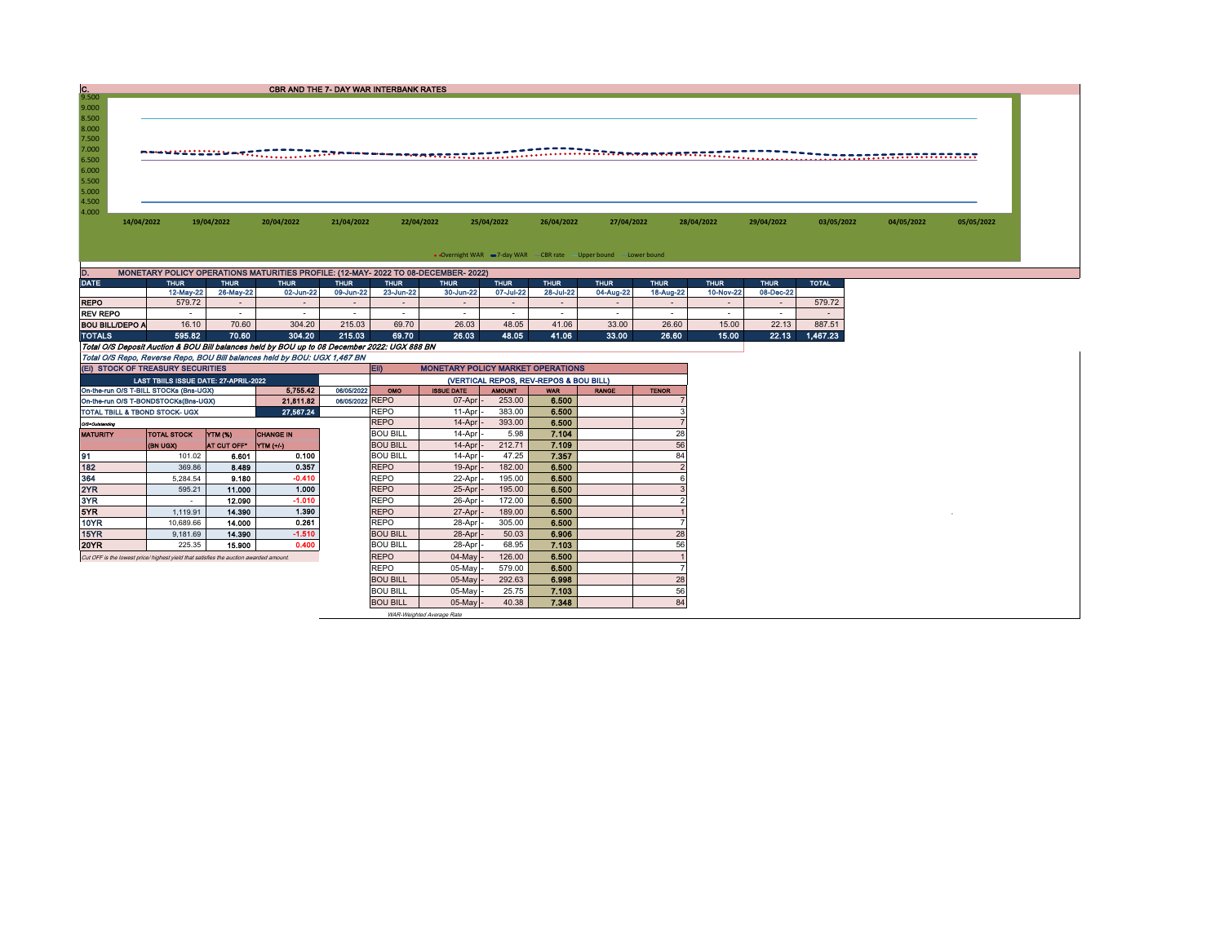| $\frac{C}{9.500}$      |                                                                                              |                          | <b>CBR AND THE 7- DAY WAR INTERBANK RATES</b>                                                                  |                          |                          |                                          |                          |                                        |                                                                   |                          |                          |                          |              |                             |            |  |
|------------------------|----------------------------------------------------------------------------------------------|--------------------------|----------------------------------------------------------------------------------------------------------------|--------------------------|--------------------------|------------------------------------------|--------------------------|----------------------------------------|-------------------------------------------------------------------|--------------------------|--------------------------|--------------------------|--------------|-----------------------------|------------|--|
|                        |                                                                                              |                          |                                                                                                                |                          |                          |                                          |                          |                                        |                                                                   |                          |                          |                          |              |                             |            |  |
| 9.000                  |                                                                                              |                          |                                                                                                                |                          |                          |                                          |                          |                                        |                                                                   |                          |                          |                          |              |                             |            |  |
| 8.500<br>8.000         |                                                                                              |                          |                                                                                                                |                          |                          |                                          |                          |                                        |                                                                   |                          |                          |                          |              |                             |            |  |
| 7.500                  |                                                                                              |                          |                                                                                                                |                          |                          |                                          |                          |                                        |                                                                   |                          |                          |                          |              |                             |            |  |
| 7.000                  |                                                                                              |                          |                                                                                                                |                          |                          |                                          |                          |                                        |                                                                   |                          |                          |                          |              |                             |            |  |
| 6.500                  |                                                                                              |                          | n – van die die van die sees van die name van die begreef gegeen van die die begroep van die begreef gegeen di |                          |                          |                                          |                          |                                        |                                                                   |                          |                          |                          |              | <u> Transacadoronomonio</u> |            |  |
| 6.000                  |                                                                                              |                          |                                                                                                                |                          |                          |                                          |                          |                                        |                                                                   |                          |                          |                          |              |                             |            |  |
| 5.500                  |                                                                                              |                          |                                                                                                                |                          |                          |                                          |                          |                                        |                                                                   |                          |                          |                          |              |                             |            |  |
| 5.000                  |                                                                                              |                          |                                                                                                                |                          |                          |                                          |                          |                                        |                                                                   |                          |                          |                          |              |                             |            |  |
| 4.500                  |                                                                                              |                          |                                                                                                                |                          |                          |                                          |                          |                                        |                                                                   |                          |                          |                          |              |                             |            |  |
| 4.000                  |                                                                                              |                          |                                                                                                                |                          |                          |                                          |                          |                                        |                                                                   |                          |                          |                          |              |                             |            |  |
|                        | 14/04/2022                                                                                   | 19/04/2022               | 20/04/2022                                                                                                     | 21/04/2022               |                          | 22/04/2022                               | 25/04/2022               | 26/04/2022                             | 27/04/2022                                                        |                          | 28/04/2022               | 29/04/2022               | 03/05/2022   | 04/05/2022                  | 05/05/2022 |  |
|                        |                                                                                              |                          |                                                                                                                |                          |                          |                                          |                          |                                        |                                                                   |                          |                          |                          |              |                             |            |  |
|                        |                                                                                              |                          |                                                                                                                |                          |                          |                                          |                          |                                        |                                                                   |                          |                          |                          |              |                             |            |  |
|                        |                                                                                              |                          |                                                                                                                |                          |                          |                                          |                          |                                        | • Overnight WAR -7-day WAR - CBR rate - Upper bound - Lower bound |                          |                          |                          |              |                             |            |  |
|                        |                                                                                              |                          |                                                                                                                |                          |                          |                                          |                          |                                        |                                                                   |                          |                          |                          |              |                             |            |  |
| D.<br><b>DATE</b>      | MONETARY POLICY OPERATIONS MATURITIES PROFILE: (12-MAY- 2022 TO 08-DECEMBER- 2022)           |                          |                                                                                                                |                          |                          |                                          |                          |                                        |                                                                   |                          |                          |                          |              |                             |            |  |
|                        | <b>THUR</b><br>12-May-22                                                                     | <b>THUR</b><br>26-May-22 | <b>THUR</b><br>02-Jun-22                                                                                       | <b>THUR</b><br>09-Jun-22 | <b>THUR</b><br>23-Jun-22 | <b>THUR</b><br>30-Jun-22                 | <b>THUR</b><br>07-Jul-22 | <b>THUR</b><br>28-Jul-22               | <b>THUR</b><br>04-Aug-22                                          | <b>THUR</b><br>18-Aug-22 | <b>THUR</b><br>10-Nov-22 | <b>THUR</b><br>08-Dec-22 | <b>TOTAL</b> |                             |            |  |
| <b>REPO</b>            | 579.72                                                                                       | $\sim$                   | ÷.                                                                                                             | $\sim$                   | $\sim$                   | $\sim$                                   | $\sim$                   | $\sim$                                 | $\sim$                                                            | $\sim$                   | $\sim$                   | $\sim$                   | 579.72       |                             |            |  |
| <b>REV REPO</b>        | $\sim$                                                                                       | $\sim$                   | $\sim$                                                                                                         | $\sim$                   | $\sim$                   | $\sim$                                   | $\sim$                   | $\sim$                                 | $\sim$                                                            | $\sim$                   | $\sim$ $-$               | $\sim$                   | $\sim$       |                             |            |  |
| <b>BOU BILL/DEPO A</b> | 16.10                                                                                        | 70.60                    | 304.20                                                                                                         | 215.03                   | 69.70                    | 26.03                                    | 48.05                    | 41.06                                  | 33.00                                                             | 26.60                    | 15.00                    | 22.13                    | 887.51       |                             |            |  |
| <b>TOTALS</b>          | 595.82                                                                                       | 70.60                    | 304.20                                                                                                         | 215.03                   | 69.70                    | 26.03                                    | 48.05                    | 41.06                                  | 33.00                                                             | 26.60                    | 15.00                    | 22.13                    | 1,467.23     |                             |            |  |
|                        | Total O/S Deposit Auction & BOU Bill balances held by BOU up to 08 December 2022: UGX 888 BN |                          |                                                                                                                |                          |                          |                                          |                          |                                        |                                                                   |                          |                          |                          |              |                             |            |  |
|                        | Total O/S Repo, Reverse Repo, BOU Bill balances held by BOU: UGX 1,467 BN                    |                          |                                                                                                                |                          |                          |                                          |                          |                                        |                                                                   |                          |                          |                          |              |                             |            |  |
|                        | (EI) STOCK OF TREASURY SECURITIES                                                            |                          |                                                                                                                |                          | EID                      | <b>MONETARY POLICY MARKET OPERATIONS</b> |                          |                                        |                                                                   |                          |                          |                          |              |                             |            |  |
|                        | LAST TBIILS ISSUE DATE: 27-APRIL-2022                                                        |                          |                                                                                                                |                          |                          |                                          |                          | (VERTICAL REPOS, REV-REPOS & BOU BILL) |                                                                   |                          |                          |                          |              |                             |            |  |
|                        | On-the-run O/S T-BILL STOCKs (Bns-UGX)                                                       |                          | 5.755.42                                                                                                       | 06/05/2022               | OMO                      | <b>ISSUE DATE</b>                        | <b>AMOUNT</b>            | <b>WAR</b>                             | <b>RANGE</b>                                                      | <b>TENOR</b>             |                          |                          |              |                             |            |  |
|                        | On-the-run O/S T-BONDSTOCKs(Bns-UGX)                                                         |                          | 21,811.82                                                                                                      | 06/05/2022 REPO          |                          | 07-Apr                                   | 253.00                   | 6.500                                  |                                                                   |                          |                          |                          |              |                             |            |  |
|                        | TOTAL TBILL & TBOND STOCK- UGX                                                               |                          | 27.567.24                                                                                                      |                          | <b>REPO</b>              | 11-Apr                                   | 383.00                   | 6.500                                  |                                                                   | 3                        |                          |                          |              |                             |            |  |
| O/S=Outstanding        |                                                                                              |                          |                                                                                                                |                          | <b>REPO</b>              | 14-Apr                                   | 393.00                   | 6.500                                  |                                                                   | $\overline{7}$           |                          |                          |              |                             |            |  |
| <b>MATURITY</b>        | <b>TOTAL STOCK</b>                                                                           | YTM (%)                  | <b>CHANGE IN</b>                                                                                               |                          | <b>BOU BILL</b>          | 14-Apr                                   | 5.98                     | 7.104                                  |                                                                   | 28                       |                          |                          |              |                             |            |  |
|                        | (BN UGX)                                                                                     | AT CUT OFF*              | YTM (+/-)                                                                                                      |                          | <b>BOU BILL</b>          | 14-Apr                                   | 212.71                   | 7.109                                  |                                                                   | 56                       |                          |                          |              |                             |            |  |
| 91                     | 101.02                                                                                       | 6.601                    | 0.100                                                                                                          |                          | <b>BOU BILL</b>          | 14-Apr                                   | 47.25                    | 7.357                                  |                                                                   | 84                       |                          |                          |              |                             |            |  |
| 182                    | 369.86                                                                                       | 8.489                    | 0.357                                                                                                          |                          | <b>REPO</b>              | 19-Apr                                   | 182.00                   | 6.500                                  |                                                                   | $\overline{\phantom{0}}$ |                          |                          |              |                             |            |  |
| 364                    | 5.284.54                                                                                     | 9.180                    | $-0.410$                                                                                                       |                          | <b>REPO</b>              | 22-Apr                                   | 195.00                   | 6.500                                  |                                                                   | 6                        |                          |                          |              |                             |            |  |
| 2YR                    | 595.21                                                                                       | 11.000                   | 1.000                                                                                                          |                          | <b>REPO</b>              | 25-Apr                                   | 195.00                   | 6.500                                  |                                                                   | 3                        |                          |                          |              |                             |            |  |
| 3YR                    | $\sim$                                                                                       | 12.090                   | $-1.010$                                                                                                       |                          | <b>REPO</b>              | 26-Apr                                   | 172.00                   | 6.500                                  |                                                                   | $\overline{2}$           |                          |                          |              |                             |            |  |
| 5YR                    | 1.119.91                                                                                     | 14,390                   | 1.390                                                                                                          |                          | <b>REPO</b>              | 27-Apr                                   | 189.00                   | 6.500                                  |                                                                   |                          |                          |                          |              |                             |            |  |
| <b>10YR</b>            | 10,689.66                                                                                    | 14.000                   | 0.261                                                                                                          |                          | <b>REPO</b>              | 28-Apr                                   | 305.00                   | 6.500                                  |                                                                   | $\overline{7}$           |                          |                          |              |                             |            |  |
| 15YR                   | 9,181.69                                                                                     | 14.390                   | $-1.510$                                                                                                       |                          | <b>BOU BILL</b>          | 28-Apr                                   | 50.03                    | 6.906                                  |                                                                   | 28                       |                          |                          |              |                             |            |  |
| 20YR                   | 225.35                                                                                       | 15,900                   | 0.400                                                                                                          |                          | <b>BOU BILL</b>          | 28-Apr                                   | 68.95                    | 7.103                                  |                                                                   | 56                       |                          |                          |              |                             |            |  |
|                        | Cut OFF is the lowest price/ highest yield that satisfies the auction awarded amount.        |                          |                                                                                                                |                          | <b>REPO</b>              | 04-May                                   | 126.00                   | 6.500                                  |                                                                   | $\overline{1}$           |                          |                          |              |                             |            |  |
|                        |                                                                                              |                          |                                                                                                                |                          | <b>REPO</b>              | 05-May                                   | 579.00                   | 6.500                                  |                                                                   | $\overline{7}$           |                          |                          |              |                             |            |  |
|                        |                                                                                              |                          |                                                                                                                |                          | <b>BOU BILL</b>          | 05-May                                   | 292.63                   | 6.998                                  |                                                                   | 28                       |                          |                          |              |                             |            |  |
|                        |                                                                                              |                          |                                                                                                                |                          | <b>BOU BILL</b>          | 05-May                                   | 25.75                    | 7.103                                  |                                                                   | 56                       |                          |                          |              |                             |            |  |
|                        |                                                                                              |                          |                                                                                                                |                          |                          |                                          |                          |                                        |                                                                   |                          |                          |                          |              |                             |            |  |
|                        |                                                                                              |                          |                                                                                                                |                          | <b>BOU BILL</b>          | 05-May -                                 | 40.38                    | 7.348                                  |                                                                   | 84                       |                          |                          |              |                             |            |  |

WAR-Weighted Average Rate